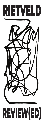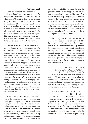# **Visual Art**

Rietveld Review(ed) is a new addition to the Graduation Show's peripheral programming. An independent, external committee was asked to reflect on the Graduation Show as a whole and to signal current tendencies and themes within the exhibition. The committee was also asked to select a number of projects by graduating students that support these observations. The reflections and observations are processed by the Rietveld Academie into this reflection report. This year's visual art committee consisted of Roel Arkesteijn, Théo Demans, Imara Limon, Tirzo Martha and Marina Otero Verzier.

The committee sees that this generation is facing a change of paradigm, coming out of a pandemic and after a year in which crucial sociopolitical changes, discussions and movements have been taking place. Being in lockdown inevitably results in introspection. At the same time, artists and designers are often expected to respond to all that is happening outside. The question of how to embrace these challenges and intertwine them with one's own artistic language and personal stories is timeless, but even more relevant this year. The committee is aware of the weight that comes with this and appreciates the ways in which the graduates are finding their voices, slowly building up what was broken down, and adding to it as they go. Their works radiate reflection and curiosity, rather than pessimism or panic. It might be a signal of something in becoming: a new ground for new narratives.

A recurrent motif in the exhibition of this year is the domestic domain — intimacy and family play a large role. A lot of works seem to originate from extremely personal stories and perspectives, and have a great impact on an emotional level. While the complete human figure seems almost absent, and is mainly there in dismembered fragments, the emotional, messy and vulnerable aspects of having a human mind are present everywhere. The audience is not

bombarded with bold statements: the way the graduates approach the bigger themes of our time is more subtle, personal and intimate. As a viewer, one is smartly being tempted to immerse oneself in the works and in the personal world of the students. It is a world that is directed inwards, one that is enticing and uncomfortable at the same time, a world in which matriarchal relationships take the stage. By looking at the past, many graduates find a way to calmly digest and respond to the current moment.

This looking back and inwards is also visible in the many ways identities are confronted by the reinvention of traditional techniques and materials. Cold hard artificiality is rejected and the committee sees more use of organic and nostalgic elements than before. Categories, assumptions and relations have been dismantled, making place for a certain blurriness and fluidity. This year's graduates seem to have a longing to return to the earth, is how one of the committee members worded it.

#### That is clear to see in the work of EVA VAN DER ZAND — THE LARGE GLASS.

Eva made a presentation that stands out because of its extensive research, extending her roots in many directions: science, gender, the language of botany, all beautifully interwoven with her personal story. She is owning her topic, and her obsession with it is enchanting.

#### NOVI ERYTRYASILANI — DOGTIME – EXPANDED PAINTING —

excited the committee with her series of large charcoal drawings, depicting childlike dream figures. They seemed to show traces of an earlier self, of something that has been and that has passed, something painful. In all its simplicity, a strong urgency was felt by the committee, who found the work deeply moving.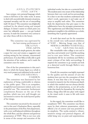#### ANNA PLOWDEN  $-$  FINE ARTS  $-$

has a unique, very personal language which comes to full force in her video work. It seems to deal with uncomfortable domestic situations, repressed sexuality and the art of storytelling itself. Or does it? The committee was delightedly confused by the absurd acting and warped dialogue. It doesn't matter at which point you enter her inflatable space — you get hooked anyway. It made the committee very curious to see what Anna will do in the future.

> The committee was captivated by the hair-raising performance of  $MICA$   $PAN$   $-$ FINE ARTS.

With impressively simple gestures, she makes a space her own and creates a suggestive and exciting setting for her intimate, concentrated performance. It is clear Mica is fully able to grab the attention of her audience, and it made the committee crave for more.

One of the few presentations in this year's show in which the human figure as a whole is very much present and celebrated is the work of

### ROXANE MBANGA — FASHION.

The committee was fascinated by her exploration of being comfortable in relation to the public space. This is an outspoken, straightforward statement indeed, and a very powerful one. The committee furthermore compliments Roxane on the use of the pavilion, which was very well thought out and seemed to mirror the multi-layered quality of her design.

The committee was struck by the amount of care in this year's Graduation Show, especially in the presentation of the Fine Arts department, with a very well-balanced exhibition throughout the whole floor, and the coherent and generous presentation of TXT. This is not true only in terms of the concept and execution of the

individual works, but also on a curatorial level. The students seem very aware of the relationship between their own work and its surroundings. It is clear to see that students understand each other's work, appreciate it and make use of ways to amplify each other. The committee finds the departments that give space to the collaborative have the strongest presentations. The togetherness and fellowship between the graduates is tangible in the exhibition as a whole, something that is greatly appreciated.

A work that stood out for the committee in the overall very well-curated exhibition of VAV – Moving Image was that of SHIFRA OSORIO WHEWELL

— VAV – MOVING IMAGE.

Her remarkable video collage is raw and in your face, and certainly won't look like anything you've ever seen before. The committee immediately fell for its weirdness and Shifra's smart critique of her daily surroundings. It inspired the committee to go outside and look at a distorted world through Shifra's very humorous lens.

Overall, the committee was highly impressed by the quality and the amount of care the students have put into the conception of their theses. It was clear that a lot of energy was invested in research, but the richness and depth in which this resulted was not always directly visible in the presentations, as not all works spoke that clearly for themselves. By viewing the theses, things often fell into place with regard to the visual work: it came to life with more information.

In this regard, the committee would like to compliment TXT. The committee was blown away by their coherent presentation, which offered a lot of context and was powerful in its simplicity. The works emitted a vibrant, sensitive energy and poetical elegance, all while being very on point and unpretentious.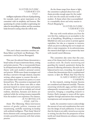#### MATHILD CLERC – VERHOEVEN  $-$  TXT $-$

intelligent exploration of the art of pickpocketing, for example, made a great impression on the committee with its simplicity and humour. Her questioning of a certain morality is captivating, her talent for storytelling is evident, and the committee looks forward to seeing what she will do next.

# **Thesis**

This year's thesis committee members are Katja Mater and Sarah van Binsbergen. The committee is led by Jeroen Boomgaard.

This year the selected theses demonstrate a broad variety of ways to intertwine theory, writing and artistic practice. The 21 recommended theses by all departments show great skill in interlinking theory with each student's personal context and practice. While some theses investigate and develop a narrative through classical, essayistic writing, others appear to counter this style and translate their research into poetry or a more fictional form. The committee is impressed with the fact that all the theses were able to relate personal research to current issues and matters of concern. Topics such as multiple and virtual realities, identities, fantasies and desires are explored while the writing remains inseparable from the student's own experience. For instance, JUN ORTEGA'S

## — FINE ARTS —

thesis The Glistening Abyss interweaves matters of gender politics, transness and transitioning, carefully examining its kinship with artificial intelligence. Their thesis' blend of fictive elements with a strong personal narrative reveals a powerful connection with their artistic practice.

As the theses range from dense to light, the committee is pleased about how each thesis provides enough space for the reader to dive into the minds and worlds of each student. A thesis where this is accomplished in a remarkably clever and witty manner is French Shopping by

> MATHILD CLERC -VERHOEVEN  $-$  TXT

Her way with words seduces you from the very first line, making you an accomplice in the act of shoplifting. Shoplifting is examined by Mathild not only as an action to protest against capitalism, but also as a response to textures, which can prove so alluring that we're simply not able to resist temptation. In its subversiveness, the research sheds light on our present-day issue with (social) moral dilemmas.

The committee also notes that this year, some of the theses tend to lean towards a more academic style. By closely monitoring and guarding the research question(s) during the process of collecting information, this style can be balanced and in turn, rewarding. An example of a thesis that demonstrates this in a sophisticated manner, is Spin the Wheel, Seal Your Fate by KARLY GERHARTS — FASHION.

In this research, existing feminist theories are considered and dissected carefully. Theories concerning witchcraft, sagas, and fairy tales are subsequently reconstructed in a new, personal narrative, bringing a compelling research to fruition. Karly manages to weave all the topics together through associations that emerge from inconspicuous and unexpected areas.

Lastly, the committee wants to acknowledge the amount of care and consideration that went into the design of each publication. It was clear that the thesis is not solely viewed as an exercise in writing, but also from the perspective of how tactile and visual elements can enhance a reading experience.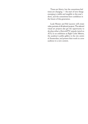Times are blurry, but the committees feel times are changing — the start of new things emerging is visible and tangible in this year's show, and the committees have confidence in the future of this generation.

Luuk Heezen and Rik Lauwen will create video portraits of all selected projects. The selected visual art projects also get the opportunity to develop either a RietveldTV episode (aired on AT5) or an exhibition at Eight Cubic Meters, the academy's public gallery in the city centre of Amsterdam, and present their work to a new audience in a new context.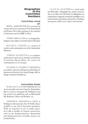### **Biographies of the Committee Members**

### **Committee visual art**

ROEL ARKESTEL IN is a writer and curator active for museums in The Netherlands and France. He is also teaching at the academy of Antwerp and the HISK in Gent.

THÉO DEMANS is a scenographer, designer and sculptor currently based in Brussels.

IMARA LIMON is a curator of modern and contemporary art at the Amsterdam Museum.

TIRZO MARTHA is a sculptor, performance artist and co-founder and director of Instituto Buena Bista, the center for contemporary art in Curaçao.

MARINA OTERO VERZIER is an architect, director of Research at Het Nieuwe Instituut and head of the Social Design MA at Design Academy Eindhoven.

### **Committee thesis**

SARAH VAN BINSBERGEN is an art journalist and writer based in Amsterdam. She is a critic at newspaper De Volkskrant and has written for platforms such as Metropolis M, Boekman Cahier and Kunsten '02.

JEROEN BOOMGAARD is Professor at the Lectorate Art & Public Space (LAPS) at the Gerrit Rietveld Academie. With an expertise in art in public space, he is also a member of various committees, such as the Stadscuratorium Amsterdam and Stadscuratorium of Leiden (Lucas van Leydenfonds).

KATJA MATER is a visual artist and filmmaker. Alongside her artistic practice, she is an editor for Girls Like Us Magazine; an independent magazine turning the spotlight on an international expanding community of lesbians and queers within arts, culture and activism.